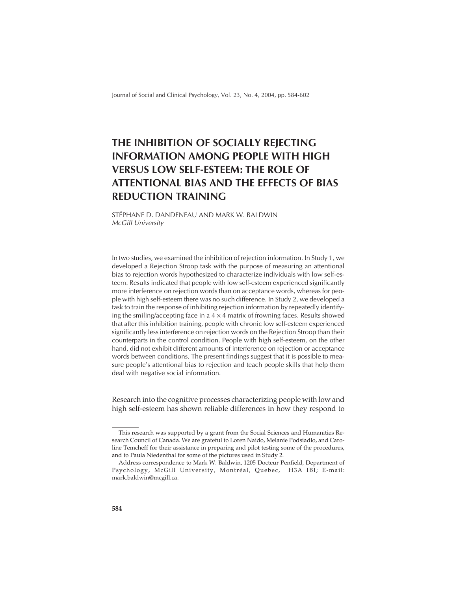Journal of Social and Clinical Psychology, Vol. 23, No. 4, 2004, pp. 584-602

# **THE INHIBITION OF SOCIALLY REJECTING INFORMATION AMONG PEOPLE WITH HIGH VERSUS LOW SELF-ESTEEM: THE ROLE OF ATTENTIONAL BIAS AND THE EFFECTS OF BIAS REDUCTION TRAINING**

STÉPHANE D. DANDENEAU AND MARK W. BALDWIN McGill University

In two studies, we examined the inhibition of rejection information. In Study 1, we developed a Rejection Stroop task with the purpose of measuring an attentional bias to rejection words hypothesized to characterize individuals with low self-esteem. Results indicated that people with low self-esteem experienced significantly more interference on rejection words than on acceptance words, whereas for people with high self-esteem there was no such difference. In Study 2, we developed a task to train the response of inhibiting rejection information by repeatedly identifying the smiling/accepting face in a  $4 \times 4$  matrix of frowning faces. Results showed that after this inhibition training, people with chronic low self-esteem experienced significantly less interference on rejection words on the Rejection Stroop than their counterparts in the control condition. People with high self-esteem, on the other hand, did not exhibit different amounts of interference on rejection or acceptance words between conditions. The present findings suggest that it is possible to measure people's attentional bias to rejection and teach people skills that help them deal with negative social information.

Research into the cognitive processes characterizing people with low and high self-esteem has shown reliable differences in how they respond to

This research was supported by a grant from the Social Sciences and Humanities Research Council of Canada. We are grateful to Loren Naido, Melanie Podsiadlo, and Caroline Temcheff for their assistance in preparing and pilot testing some of the procedures, and to Paula Niedenthal for some of the pictures used in Study 2.

Address correspondence to Mark W. Baldwin, 1205 Docteur Penfield, Department of Psychology, McGill University, Montréal, Quebec, H3A IBI; E-mail: mark.baldwin@mcgill.ca.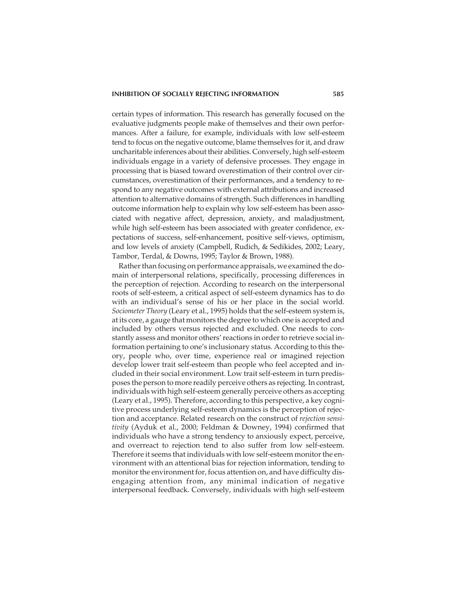certain types of information. This research has generally focused on the evaluative judgments people make of themselves and their own performances. After a failure, for example, individuals with low self-esteem tend to focus on the negative outcome, blame themselves for it, and draw uncharitable inferences about their abilities. Conversely, high self-esteem individuals engage in a variety of defensive processes. They engage in processing that is biased toward overestimation of their control over circumstances, overestimation of their performances, and a tendency to respond to any negative outcomes with external attributions and increased attention to alternative domains of strength. Such differences in handling outcome information help to explain why low self-esteem has been associated with negative affect, depression, anxiety, and maladjustment, while high self-esteem has been associated with greater confidence, expectations of success, self-enhancement, positive self-views, optimism, and low levels of anxiety (Campbell, Rudich, & Sedikides, 2002; Leary, Tambor, Terdal, & Downs, 1995; Taylor & Brown, 1988).

Rather than focusing on performance appraisals, we examined the domain of interpersonal relations, specifically, processing differences in the perception of rejection. According to research on the interpersonal roots of self-esteem, a critical aspect of self-esteem dynamics has to do with an individual's sense of his or her place in the social world. *Sociometer Theory* (Leary et al., 1995) holds that the self-esteem system is, at its core, a gauge that monitors the degree to which one is accepted and included by others versus rejected and excluded. One needs to constantly assess and monitor others' reactions in order to retrieve social information pertaining to one's inclusionary status. According to this theory, people who, over time, experience real or imagined rejection develop lower trait self-esteem than people who feel accepted and included in their social environment. Low trait self-esteem in turn predisposes the person to more readily perceive others as rejecting. In contrast, individuals with high self-esteem generally perceive others as accepting (Leary et al., 1995). Therefore, according to this perspective, a key cognitive process underlying self-esteem dynamics is the perception of rejection and acceptance. Related research on the construct of *rejection sensitivity* (Ayduk et al., 2000; Feldman & Downey, 1994) confirmed that individuals who have a strong tendency to anxiously expect, perceive, and overreact to rejection tend to also suffer from low self-esteem. Therefore it seems that individuals with low self-esteem monitor the environment with an attentional bias for rejection information, tending to monitor the environment for, focus attention on, and have difficulty disengaging attention from, any minimal indication of negative interpersonal feedback. Conversely, individuals with high self-esteem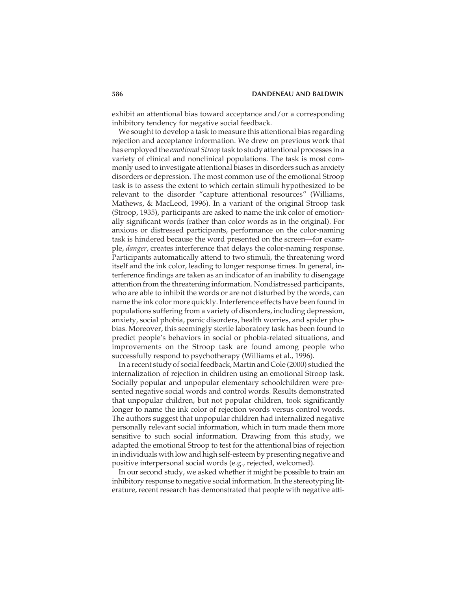exhibit an attentional bias toward acceptance and/or a corresponding inhibitory tendency for negative social feedback.

We sought to develop a task to measure this attentional bias regarding rejection and acceptance information. We drew on previous work that has employed the *emotional Stroop* task to study attentional processes in a variety of clinical and nonclinical populations. The task is most commonly used to investigate attentional biases in disorders such as anxiety disorders or depression. The most common use of the emotional Stroop task is to assess the extent to which certain stimuli hypothesized to be relevant to the disorder "capture attentional resources" (Williams, Mathews, & MacLeod, 1996). In a variant of the original Stroop task (Stroop, 1935), participants are asked to name the ink color of emotionally significant words (rather than color words as in the original). For anxious or distressed participants, performance on the color-naming task is hindered because the word presented on the screen—for example, *danger*, creates interference that delays the color-naming response. Participants automatically attend to two stimuli, the threatening word itself and the ink color, leading to longer response times. In general, interference findings are taken as an indicator of an inability to disengage attention from the threatening information. Nondistressed participants, who are able to inhibit the words or are not disturbed by the words, can name the ink color more quickly. Interference effects have been found in populations suffering from a variety of disorders, including depression, anxiety, social phobia, panic disorders, health worries, and spider phobias. Moreover, this seemingly sterile laboratory task has been found to predict people's behaviors in social or phobia-related situations, and improvements on the Stroop task are found among people who successfully respond to psychotherapy (Williams et al., 1996).

In a recent study of social feedback, Martin and Cole (2000) studied the internalization of rejection in children using an emotional Stroop task. Socially popular and unpopular elementary schoolchildren were presented negative social words and control words. Results demonstrated that unpopular children, but not popular children, took significantly longer to name the ink color of rejection words versus control words. The authors suggest that unpopular children had internalized negative personally relevant social information, which in turn made them more sensitive to such social information. Drawing from this study, we adapted the emotional Stroop to test for the attentional bias of rejection in individuals with low and high self-esteem by presenting negative and positive interpersonal social words (e.g., rejected, welcomed).

In our second study, we asked whether it might be possible to train an inhibitory response to negative social information. In the stereotyping literature, recent research has demonstrated that people with negative atti-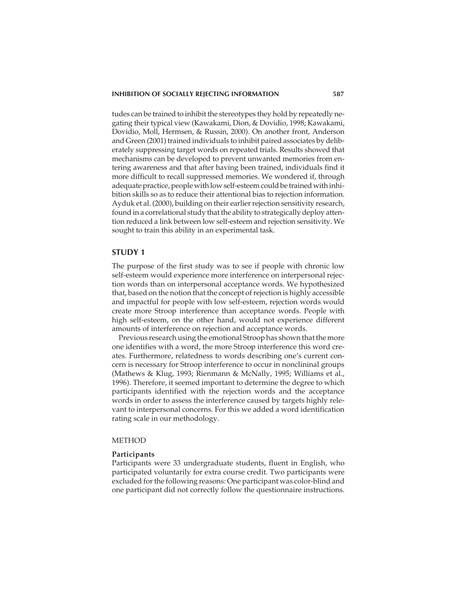tudes can be trained to inhibit the stereotypes they hold by repeatedly negating their typical view (Kawakami, Dion, & Dovidio, 1998; Kawakami, Dovidio, Moll, Hermsen, & Russin, 2000). On another front, Anderson and Green (2001) trained individuals to inhibit paired associates by deliberately suppressing target words on repeated trials. Results showed that mechanisms can be developed to prevent unwanted memories from entering awareness and that after having been trained, individuals find it more difficult to recall suppressed memories. We wondered if, through adequate practice, people with low self-esteem could be trained with inhibition skills so as to reduce their attentional bias to rejection information. Ayduk et al. (2000), building on their earlier rejection sensitivity research, found in a correlational study that the ability to strategically deploy attention reduced a link between low self-esteem and rejection sensitivity. We sought to train this ability in an experimental task.

#### **STUDY 1**

The purpose of the first study was to see if people with chronic low self-esteem would experience more interference on interpersonal rejection words than on interpersonal acceptance words. We hypothesized that, based on the notion that the concept of rejection is highly accessible and impactful for people with low self-esteem, rejection words would create more Stroop interference than acceptance words. People with high self-esteem, on the other hand, would not experience different amounts of interference on rejection and acceptance words.

Previous research using the emotional Stroop has shown that the more one identifies with a word, the more Stroop interference this word creates. Furthermore, relatedness to words describing one's current concern is necessary for Stroop interference to occur in nonclininal groups (Mathews & Klug, 1993; Rienmann & McNally, 1995; Williams et al., 1996). Therefore, it seemed important to determine the degree to which participants identified with the rejection words and the acceptance words in order to assess the interference caused by targets highly relevant to interpersonal concerns. For this we added a word identification rating scale in our methodology.

#### METHOD

#### **Participants**

Participants were 33 undergraduate students, fluent in English, who participated voluntarily for extra course credit. Two participants were excluded for the following reasons: One participant was color-blind and one participant did not correctly follow the questionnaire instructions.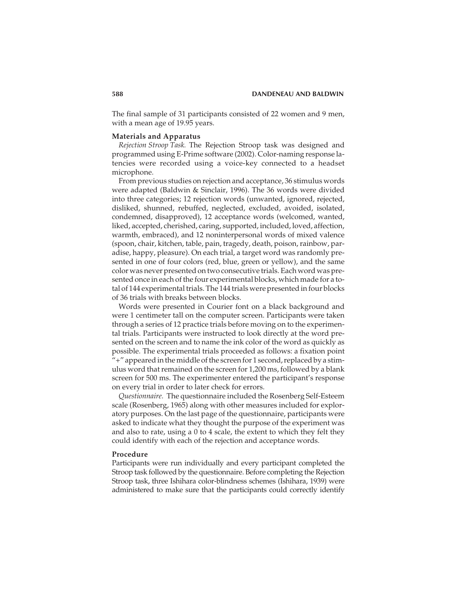The final sample of 31 participants consisted of 22 women and 9 men, with a mean age of 19.95 years.

#### **Materials and Apparatus**

*Rejection Stroop Task.* The Rejection Stroop task was designed and programmed using E-Prime software (2002). Color-naming response latencies were recorded using a voice-key connected to a headset microphone.

From previous studies on rejection and acceptance, 36 stimulus words were adapted (Baldwin & Sinclair, 1996). The 36 words were divided into three categories; 12 rejection words (unwanted, ignored, rejected, disliked, shunned, rebuffed, neglected, excluded, avoided, isolated, condemned, disapproved), 12 acceptance words (welcomed, wanted, liked, accepted, cherished, caring, supported, included, loved, affection, warmth, embraced), and 12 noninterpersonal words of mixed valence (spoon, chair, kitchen, table, pain, tragedy, death, poison, rainbow, paradise, happy, pleasure). On each trial, a target word was randomly presented in one of four colors (red, blue, green or yellow), and the same color was never presented on two consecutive trials. Each word was presented once in each of the four experimental blocks, which made for a total of 144 experimental trials. The 144 trials were presented in four blocks of 36 trials with breaks between blocks.

Words were presented in Courier font on a black background and were 1 centimeter tall on the computer screen. Participants were taken through a series of 12 practice trials before moving on to the experimental trials. Participants were instructed to look directly at the word presented on the screen and to name the ink color of the word as quickly as possible. The experimental trials proceeded as follows: a fixation point "+" appeared in the middle of the screen for 1 second, replaced by a stimulus word that remained on the screen for 1,200 ms, followed by a blank screen for 500 ms. The experimenter entered the participant's response on every trial in order to later check for errors.

*Questionnaire.* The questionnaire included the Rosenberg Self-Esteem scale (Rosenberg, 1965) along with other measures included for exploratory purposes. On the last page of the questionnaire, participants were asked to indicate what they thought the purpose of the experiment was and also to rate, using a 0 to 4 scale, the extent to which they felt they could identify with each of the rejection and acceptance words.

#### **Procedure**

Participants were run individually and every participant completed the Stroop task followed by the questionnaire. Before completing the Rejection Stroop task, three Ishihara color-blindness schemes (Ishihara, 1939) were administered to make sure that the participants could correctly identify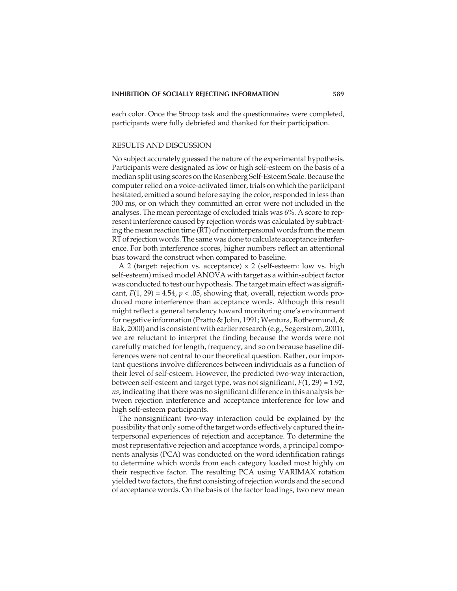each color. Once the Stroop task and the questionnaires were completed, participants were fully debriefed and thanked for their participation.

#### RESULTS AND DISCUSSION

No subject accurately guessed the nature of the experimental hypothesis. Participants were designated as low or high self-esteem on the basis of a median split using scores on the Rosenberg Self-Esteem Scale. Because the computer relied on a voice-activated timer, trials on which the participant hesitated, emitted a sound before saying the color, responded in less than 300 ms, or on which they committed an error were not included in the analyses. The mean percentage of excluded trials was 6%. A score to represent interference caused by rejection words was calculated by subtracting the mean reaction time (RT) of noninterpersonal words from the mean RT of rejection words. The same was done to calculate acceptance interference. For both interference scores, higher numbers reflect an attentional bias toward the construct when compared to baseline.

A 2 (target: rejection vs. acceptance) x 2 (self-esteem: low vs. high self-esteem) mixed model ANOVA with target as a within-subject factor was conducted to test our hypothesis. The target main effect was significant,  $F(1, 29) = 4.54$ ,  $p < .05$ , showing that, overall, rejection words produced more interference than acceptance words. Although this result might reflect a general tendency toward monitoring one's environment for negative information (Pratto & John, 1991; Wentura, Rothermund, & Bak, 2000) and is consistent with earlier research (e.g., Segerstrom, 2001), we are reluctant to interpret the finding because the words were not carefully matched for length, frequency, and so on because baseline differences were not central to our theoretical question. Rather, our important questions involve differences between individuals as a function of their level of self-esteem. However, the predicted two-way interaction, between self-esteem and target type, was not significant, *F*(1, 29) = 1.92, *ns*, indicating that there was no significant difference in this analysis between rejection interference and acceptance interference for low and high self-esteem participants.

The nonsignificant two-way interaction could be explained by the possibility that only some of the target words effectively captured the interpersonal experiences of rejection and acceptance. To determine the most representative rejection and acceptance words, a principal components analysis (PCA) was conducted on the word identification ratings to determine which words from each category loaded most highly on their respective factor. The resulting PCA using VARIMAX rotation yielded two factors, the first consisting of rejection words and the second of acceptance words. On the basis of the factor loadings, two new mean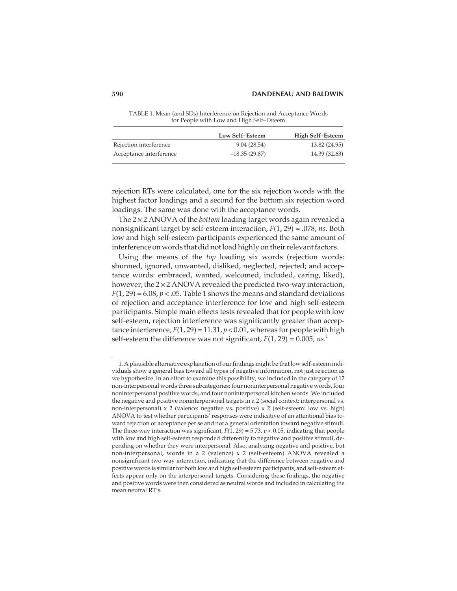TABLE 1. Mean (and SDs) Interference on Rejection and Acceptance Words for People with Low and High Self–Esteem

|                         | Low Self–Esteem | <b>High Self-Esteem</b> |
|-------------------------|-----------------|-------------------------|
| Rejection interference  | 9.04(28.54)     | 13.82 (24.95)           |
| Acceptance interference | $-18.35(29.87)$ | 14.39 (32.63)           |

rejection RTs were calculated, one for the six rejection words with the highest factor loadings and a second for the bottom six rejection word loadings. The same was done with the acceptance words.

The 2 × 2 ANOVA of the *bottom* loading target words again revealed a nonsignificant target by self-esteem interaction, *F*(1, 29) = .078, *ns*. Both low and high self-esteem participants experienced the same amount of interference on words that did not load highly on their relevant factors.

Using the means of the *top* loading six words (rejection words: shunned, ignored, unwanted, disliked, neglected, rejected; and acceptance words: embraced, wanted, welcomed, included, caring, liked), however, the  $2 \times 2$  ANOVA revealed the predicted two-way interaction,  $F(1, 29) = 6.08$ ,  $p < .05$ . Table 1 shows the means and standard deviations of rejection and acceptance interference for low and high self-esteem participants. Simple main effects tests revealed that for people with low self-esteem, rejection interference was significantly greater than acceptance interference,  $F(1, 29) = 11.31$ ,  $p < 0.01$ , whereas for people with high self-esteem the difference was not significant,  $F(1, 29) = 0.005$ ,  $ns$ <sup>1</sup>

<sup>1.</sup> A plausible alternative explanation of our findings might be that low self-esteem individuals show a general bias toward all types of negative information, not just rejection as we hypothesize. In an effort to examine this possibility, we included in the category of 12 non-interpersonal words three subcategories: four noninterpersonal negative words, four noninterpersonal positive words, and four noninterpersonal kitchen words. We included the negative and positive noninterpersonal targets in a 2 (social context: interpersonal vs. non-interpersonal) x 2 (valence: negative vs. positive) x 2 (self-esteem: low vs. high) ANOVA to test whether participants' responses were indicative of an attentional bias toward rejection or acceptance per se and not a general orientation toward negative stimuli. The three-way interaction was significant,  $F(1, 29) = 5.73$ ,  $p < 0.05$ , indicating that people with low and high self-esteem responded differently to negative and positive stimuli, depending on whether they were interpersonal. Also, analyzing negative and positive, but non-interpersonal, words in a 2 (valence) x 2 (self-esteem) ANOVA revealed a nonsignificant two-way interaction, indicating that the difference between negative and positive words is similar for both low and high self-esteem participants, and self-esteem effects appear only on the interpersonal targets. Considering these findings, the negative and positive words were then considered as neutral words and included in calculating the mean neutral RT's.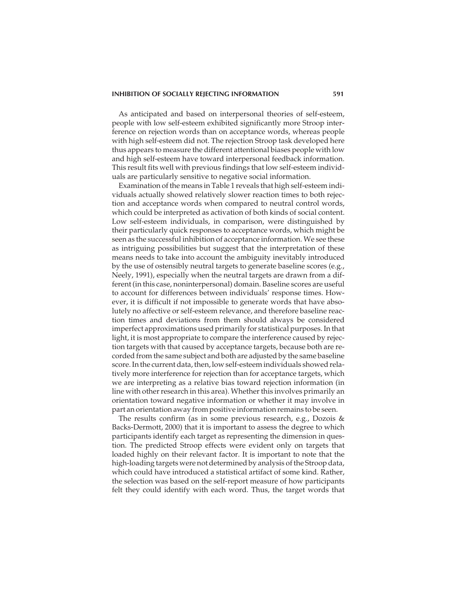As anticipated and based on interpersonal theories of self-esteem, people with low self-esteem exhibited significantly more Stroop interference on rejection words than on acceptance words, whereas people with high self-esteem did not. The rejection Stroop task developed here thus appears to measure the different attentional biases people with low and high self-esteem have toward interpersonal feedback information. This result fits well with previous findings that low self-esteem individuals are particularly sensitive to negative social information.

Examination of the means in Table 1 reveals that high self-esteem individuals actually showed relatively slower reaction times to both rejection and acceptance words when compared to neutral control words, which could be interpreted as activation of both kinds of social content. Low self-esteem individuals, in comparison, were distinguished by their particularly quick responses to acceptance words, which might be seen as the successful inhibition of acceptance information. We see these as intriguing possibilities but suggest that the interpretation of these means needs to take into account the ambiguity inevitably introduced by the use of ostensibly neutral targets to generate baseline scores (e.g., Neely, 1991), especially when the neutral targets are drawn from a different (in this case, noninterpersonal) domain. Baseline scores are useful to account for differences between individuals' response times. However, it is difficult if not impossible to generate words that have absolutely no affective or self-esteem relevance, and therefore baseline reaction times and deviations from them should always be considered imperfect approximations used primarily for statistical purposes. In that light, it is most appropriate to compare the interference caused by rejection targets with that caused by acceptance targets, because both are recorded from the same subject and both are adjusted by the same baseline score. In the current data, then, low self-esteem individuals showed relatively more interference for rejection than for acceptance targets, which we are interpreting as a relative bias toward rejection information (in line with other research in this area). Whether this involves primarily an orientation toward negative information or whether it may involve in part an orientation away from positive information remains to be seen.

The results confirm (as in some previous research, e.g., Dozois & Backs-Dermott, 2000) that it is important to assess the degree to which participants identify each target as representing the dimension in question. The predicted Stroop effects were evident only on targets that loaded highly on their relevant factor. It is important to note that the high-loading targets were not determined by analysis of the Stroop data, which could have introduced a statistical artifact of some kind. Rather, the selection was based on the self-report measure of how participants felt they could identify with each word. Thus, the target words that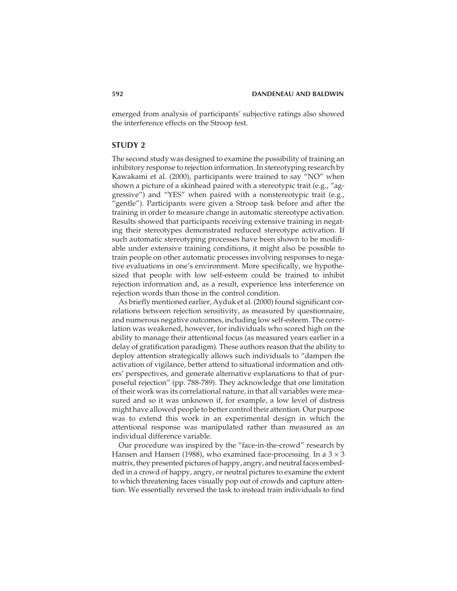emerged from analysis of participants' subjective ratings also showed the interference effects on the Stroop test.

## **STUDY 2**

The second study was designed to examine the possibility of training an inhibitory response to rejection information. In stereotyping research by Kawakami et al. (2000), participants were trained to say "NO" when shown a picture of a skinhead paired with a stereotypic trait (e.g., "aggressive") and "YES" when paired with a nonstereotypic trait (e.g., "gentle"). Participants were given a Stroop task before and after the training in order to measure change in automatic stereotype activation. Results showed that participants receiving extensive training in negating their stereotypes demonstrated reduced stereotype activation. If such automatic stereotyping processes have been shown to be modifiable under extensive training conditions, it might also be possible to train people on other automatic processes involving responses to negative evaluations in one's environment. More specifically, we hypothesized that people with low self-esteem could be trained to inhibit rejection information and, as a result, experience less interference on rejection words than those in the control condition.

As briefly mentioned earlier, Ayduk et al. (2000) found significant correlations between rejection sensitivity, as measured by questionnaire, and numerous negative outcomes, including low self-esteem. The correlation was weakened, however, for individuals who scored high on the ability to manage their attentional focus (as measured years earlier in a delay of gratification paradigm). These authors reason that the ability to deploy attention strategically allows such individuals to "dampen the activation of vigilance, better attend to situational information and others' perspectives, and generate alternative explanations to that of purposeful rejection" (pp. 788-789). They acknowledge that one limitation of their work was its correlational nature, in that all variables were measured and so it was unknown if, for example, a low level of distress might have allowed people to better control their attention. Our purpose was to extend this work in an experimental design in which the attentional response was manipulated rather than measured as an individual difference variable.

Our procedure was inspired by the "face-in-the-crowd" research by Hansen and Hansen (1988), who examined face-processing. In a  $3 \times 3$ matrix, they presented pictures of happy, angry, and neutral faces embedded in a crowd of happy, angry, or neutral pictures to examine the extent to which threatening faces visually pop out of crowds and capture attention. We essentially reversed the task to instead train individuals to find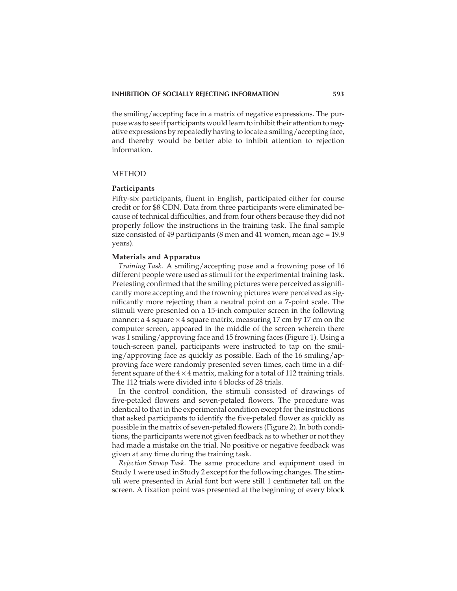the smiling/accepting face in a matrix of negative expressions. The purpose was to see if participants would learn to inhibit their attention to negative expressions by repeatedly having to locate a smiling/accepting face, and thereby would be better able to inhibit attention to rejection information.

#### **METHOD**

#### **Participants**

Fifty-six participants, fluent in English, participated either for course credit or for \$8 CDN. Data from three participants were eliminated because of technical difficulties, and from four others because they did not properly follow the instructions in the training task. The final sample size consisted of 49 participants (8 men and 41 women, mean age = 19.9 years).

#### **Materials and Apparatus**

*Training Task.* A smiling/accepting pose and a frowning pose of 16 different people were used as stimuli for the experimental training task. Pretesting confirmed that the smiling pictures were perceived as significantly more accepting and the frowning pictures were perceived as significantly more rejecting than a neutral point on a 7-point scale. The stimuli were presented on a 15-inch computer screen in the following manner: a 4 square  $\times$  4 square matrix, measuring 17 cm by 17 cm on the computer screen, appeared in the middle of the screen wherein there was 1 smiling/approving face and 15 frowning faces (Figure 1). Using a touch-screen panel, participants were instructed to tap on the smiling/approving face as quickly as possible. Each of the 16 smiling/approving face were randomly presented seven times, each time in a different square of the  $4 \times 4$  matrix, making for a total of 112 training trials. The 112 trials were divided into 4 blocks of 28 trials.

In the control condition, the stimuli consisted of drawings of five-petaled flowers and seven-petaled flowers. The procedure was identical to that in the experimental condition except for the instructions that asked participants to identify the five-petaled flower as quickly as possible in the matrix of seven-petaled flowers (Figure 2). In both conditions, the participants were not given feedback as to whether or not they had made a mistake on the trial. No positive or negative feedback was given at any time during the training task.

*Rejection Stroop Task.* The same procedure and equipment used in Study 1 were used in Study 2 except for the following changes. The stimuli were presented in Arial font but were still 1 centimeter tall on the screen. A fixation point was presented at the beginning of every block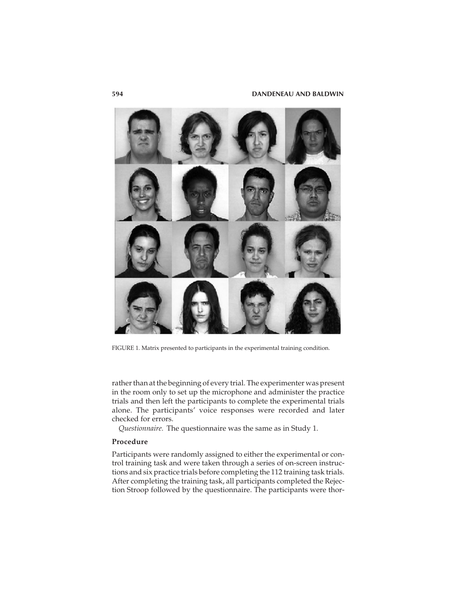## **594 DANDENEAU AND BALDWIN**



FIGURE 1. Matrix presented to participants in the experimental training condition.

rather than at the beginning of every trial. The experimenter was present in the room only to set up the microphone and administer the practice trials and then left the participants to complete the experimental trials alone. The participants' voice responses were recorded and later checked for errors.

*Questionnaire.* The questionnaire was the same as in Study 1.

### **Procedure**

Participants were randomly assigned to either the experimental or control training task and were taken through a series of on-screen instructions and six practice trials before completing the 112 training task trials. After completing the training task, all participants completed the Rejection Stroop followed by the questionnaire. The participants were thor-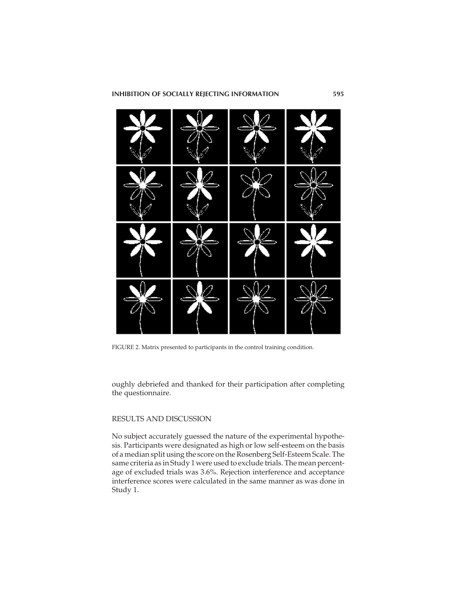

FIGURE 2. Matrix presented to participants in the control training condition.

oughly debriefed and thanked for their participation after completing the questionnaire.

# RESULTS AND DISCUSSION

No subject accurately guessed the nature of the experimental hypothesis. Participants were designated as high or low self-esteem on the basis of a median split using the score on the Rosenberg Self-Esteem Scale. The same criteria as in Study 1 were used to exclude trials. The mean percentage of excluded trials was 3.6%. Rejection interference and acceptance interference scores were calculated in the same manner as was done in Study 1.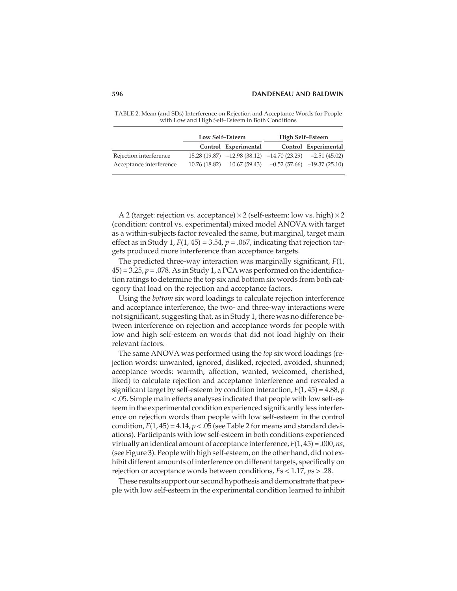TABLE 2. Mean (and SDs) Interference on Rejection and Acceptance Words for People with Low and High Self–Esteem in Both Conditions

|                         | Low Self-Esteem |                                                               | High Self-Esteem                              |                      |
|-------------------------|-----------------|---------------------------------------------------------------|-----------------------------------------------|----------------------|
|                         |                 | Control Experimental                                          |                                               | Control Experimental |
| Rejection interference  |                 | $15.28(19.87)$ $-12.98(38.12)$ $-14.70(23.29)$ $-2.51(45.02)$ |                                               |                      |
| Acceptance interference | 10.76 (18.82)   |                                                               | $10.67(59.43)$ $-0.52(57.66)$ $-19.37(25.10)$ |                      |

A 2 (target: rejection vs. acceptance)  $\times$  2 (self-esteem: low vs. high)  $\times$  2 (condition: control vs. experimental) mixed model ANOVA with target as a within-subjects factor revealed the same, but marginal, target main effect as in Study 1,  $F(1, 45) = 3.54$ ,  $p = .067$ , indicating that rejection targets produced more interference than acceptance targets.

The predicted three-way interaction was marginally significant, *F*(1,  $45$ ) = 3.25,  $p$  = .078. As in Study 1, a PCA was performed on the identification ratings to determine the top six and bottom six words from both category that load on the rejection and acceptance factors.

Using the *bottom* six word loadings to calculate rejection interference and acceptance interference, the two- and three-way interactions were not significant, suggesting that, as in Study 1, there was no difference between interference on rejection and acceptance words for people with low and high self-esteem on words that did not load highly on their relevant factors.

The same ANOVA was performed using the *top* six word loadings (rejection words: unwanted, ignored, disliked, rejected, avoided, shunned; acceptance words: warmth, affection, wanted, welcomed, cherished, liked) to calculate rejection and acceptance interference and revealed a significant target by self-esteem by condition interaction, *F*(1, 45) = 4.88, *p* < .05. Simple main effects analyses indicated that people with low self-esteem in the experimental condition experienced significantly less interference on rejection words than people with low self-esteem in the control condition,  $F(1, 45) = 4.14$ ,  $p < .05$  (see Table 2 for means and standard deviations). Participants with low self-esteem in both conditions experienced virtually an identical amount of acceptance interference, *F*(1, 45) = .000, *ns*, (see Figure 3). People with high self-esteem, on the other hand, did not exhibit different amounts of interference on different targets, specifically on rejection or acceptance words between conditions, *F*s < 1.17, *p*s > .28.

These results support our second hypothesis and demonstrate that people with low self-esteem in the experimental condition learned to inhibit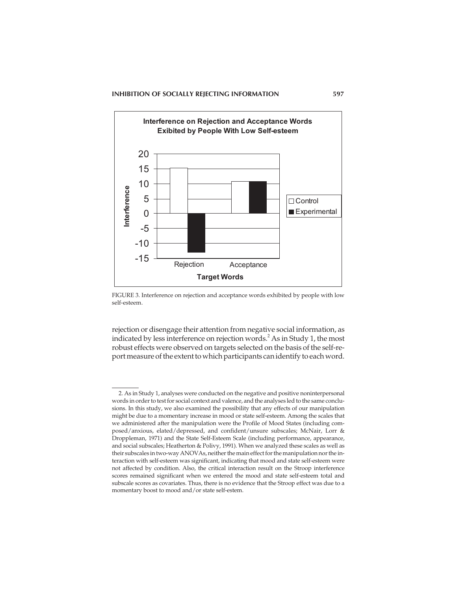

FIGURE 3. Interference on rejection and acceptance words exhibited by people with low self-esteem.

rejection or disengage their attention from negative social information, as indicated by less interference on rejection words.<sup>2</sup> As in Study 1, the most robust effects were observed on targets selected on the basis of the self-report measure of the extent to which participants can identify to each word.

<sup>2.</sup> As in Study 1, analyses were conducted on the negative and positive noninterpersonal words in order to test for social context and valence, and the analyses led to the same conclusions. In this study, we also examined the possibility that any effects of our manipulation might be due to a momentary increase in mood or state self-esteem. Among the scales that we administered after the manipulation were the Profile of Mood States (including composed/anxious, elated/depressed, and confident/unsure subscales; McNair, Lorr & Droppleman, 1971) and the State Self-Esteem Scale (including performance, appearance, and social subscales; Heatherton & Polivy, 1991). When we analyzed these scales as well as their subscales in two-way ANOVAs, neither the main effect for the manipulation nor the interaction with self-esteem was significant, indicating that mood and state self-esteem were not affected by condition. Also, the critical interaction result on the Stroop interference scores remained significant when we entered the mood and state self-esteem total and subscale scores as covariates. Thus, there is no evidence that the Stroop effect was due to a momentary boost to mood and/or state self-estem.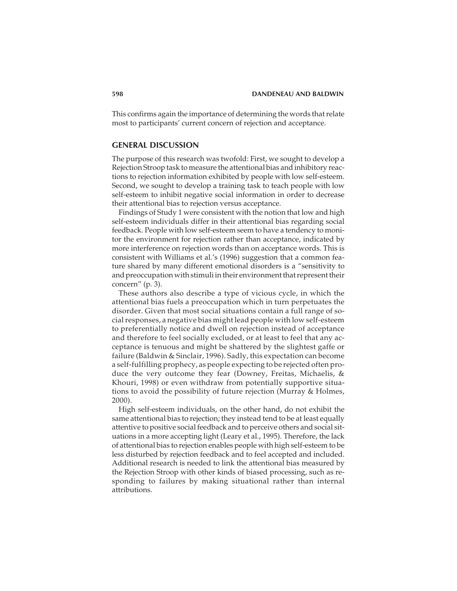This confirms again the importance of determining the words that relate most to participants' current concern of rejection and acceptance.

### **GENERAL DISCUSSION**

The purpose of this research was twofold: First, we sought to develop a Rejection Stroop task to measure the attentional bias and inhibitory reactions to rejection information exhibited by people with low self-esteem. Second, we sought to develop a training task to teach people with low self-esteem to inhibit negative social information in order to decrease their attentional bias to rejection versus acceptance.

Findings of Study 1 were consistent with the notion that low and high self-esteem individuals differ in their attentional bias regarding social feedback. People with low self-esteem seem to have a tendency to monitor the environment for rejection rather than acceptance, indicated by more interference on rejection words than on acceptance words. This is consistent with Williams et al.'s (1996) suggestion that a common feature shared by many different emotional disorders is a "sensitivity to and preoccupation with stimuli in their environment that represent their concern" (p. 3).

These authors also describe a type of vicious cycle, in which the attentional bias fuels a preoccupation which in turn perpetuates the disorder. Given that most social situations contain a full range of social responses, a negative bias might lead people with low self-esteem to preferentially notice and dwell on rejection instead of acceptance and therefore to feel socially excluded, or at least to feel that any acceptance is tenuous and might be shattered by the slightest gaffe or failure (Baldwin & Sinclair, 1996). Sadly, this expectation can become a self-fulfilling prophecy, as people expecting to be rejected often produce the very outcome they fear (Downey, Freitas, Michaelis, & Khouri, 1998) or even withdraw from potentially supportive situations to avoid the possibility of future rejection (Murray & Holmes, 2000).

High self-esteem individuals, on the other hand, do not exhibit the same attentional bias to rejection; they instead tend to be at least equally attentive to positive social feedback and to perceive others and social situations in a more accepting light (Leary et al., 1995). Therefore, the lack of attentional bias to rejection enables people with high self-esteem to be less disturbed by rejection feedback and to feel accepted and included. Additional research is needed to link the attentional bias measured by the Rejection Stroop with other kinds of biased processing, such as responding to failures by making situational rather than internal attributions.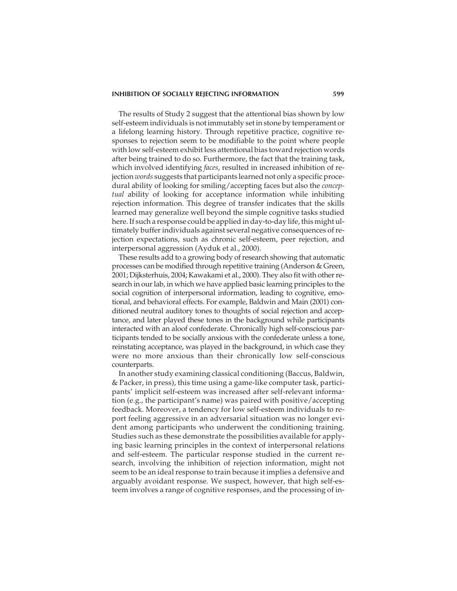The results of Study 2 suggest that the attentional bias shown by low self-esteem individuals is not immutably set in stone by temperament or a lifelong learning history. Through repetitive practice, cognitive responses to rejection seem to be modifiable to the point where people with low self-esteem exhibit less attentional bias toward rejection words after being trained to do so. Furthermore, the fact that the training task, which involved identifying *faces*, resulted in increased inhibition of rejection *words* suggests that participants learned not only a specific procedural ability of looking for smiling/accepting faces but also the *conceptual* ability of looking for acceptance information while inhibiting rejection information. This degree of transfer indicates that the skills learned may generalize well beyond the simple cognitive tasks studied here. If such a response could be applied in day-to-day life, this might ultimately buffer individuals against several negative consequences of rejection expectations, such as chronic self-esteem, peer rejection, and interpersonal aggression (Ayduk et al., 2000).

These results add to a growing body of research showing that automatic processes can be modified through repetitive training (Anderson & Green, 2001; Dijksterhuis, 2004; Kawakami et al., 2000). They also fit with other research in our lab, in which we have applied basic learning principles to the social cognition of interpersonal information, leading to cognitive, emotional, and behavioral effects. For example, Baldwin and Main (2001) conditioned neutral auditory tones to thoughts of social rejection and acceptance, and later played these tones in the background while participants interacted with an aloof confederate. Chronically high self-conscious participants tended to be socially anxious with the confederate unless a tone, reinstating acceptance, was played in the background, in which case they were no more anxious than their chronically low self-conscious counterparts.

In another study examining classical conditioning (Baccus, Baldwin, & Packer, in press), this time using a game-like computer task, participants' implicit self-esteem was increased after self-relevant information (e.g., the participant's name) was paired with positive/accepting feedback. Moreover, a tendency for low self-esteem individuals to report feeling aggressive in an adversarial situation was no longer evident among participants who underwent the conditioning training. Studies such as these demonstrate the possibilities available for applying basic learning principles in the context of interpersonal relations and self-esteem. The particular response studied in the current research, involving the inhibition of rejection information, might not seem to be an ideal response to train because it implies a defensive and arguably avoidant response. We suspect, however, that high self-esteem involves a range of cognitive responses, and the processing of in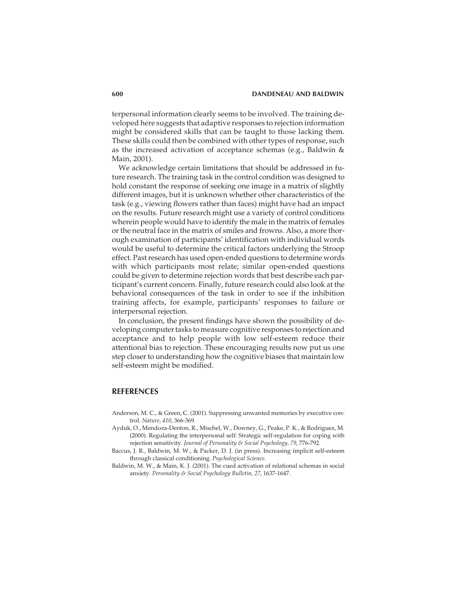terpersonal information clearly seems to be involved. The training developed here suggests that adaptive responses to rejection information might be considered skills that can be taught to those lacking them. These skills could then be combined with other types of response, such as the increased activation of acceptance schemas (e.g., Baldwin & Main, 2001).

We acknowledge certain limitations that should be addressed in future research. The training task in the control condition was designed to hold constant the response of seeking one image in a matrix of slightly different images, but it is unknown whether other characteristics of the task (e.g., viewing flowers rather than faces) might have had an impact on the results. Future research might use a variety of control conditions wherein people would have to identify the male in the matrix of females or the neutral face in the matrix of smiles and frowns. Also, a more thorough examination of participants' identification with individual words would be useful to determine the critical factors underlying the Stroop effect. Past research has used open-ended questions to determine words with which participants most relate; similar open-ended questions could be given to determine rejection words that best describe each participant's current concern. Finally, future research could also look at the behavioral consequences of the task in order to see if the inhibition training affects, for example, participants' responses to failure or interpersonal rejection.

In conclusion, the present findings have shown the possibility of developing computer tasks to measure cognitive responses to rejection and acceptance and to help people with low self-esteem reduce their attentional bias to rejection. These encouraging results now put us one step closer to understanding how the cognitive biases that maintain low self-esteem might be modified.

#### **REFERENCES**

- Anderson, M. C., & Green, C. (2001). Suppressing unwanted memories by executive control. *Nature, 410*, 366-369.
- Ayduk, O., Mendoza-Denton, R., Mischel, W., Downey, G., Peake, P. K., & Rodriguez, M. (2000). Regulating the interpersonal self: Strategic self-regulation for coping with rejection sensitivity. *Journal of Personality & Social Psychology, 79*, 776-792.
- Baccus, J. R., Baldwin, M. W., & Packer, D. J. (in press). Increasing implicit self-esteem through classical conditioning. *Psychological Science*.
- Baldwin, M. W., & Main, K. J. (2001). The cued activation of relational schemas in social anxiety. *Personality & Social Psychology Bulletin, 27*, 1637-1647.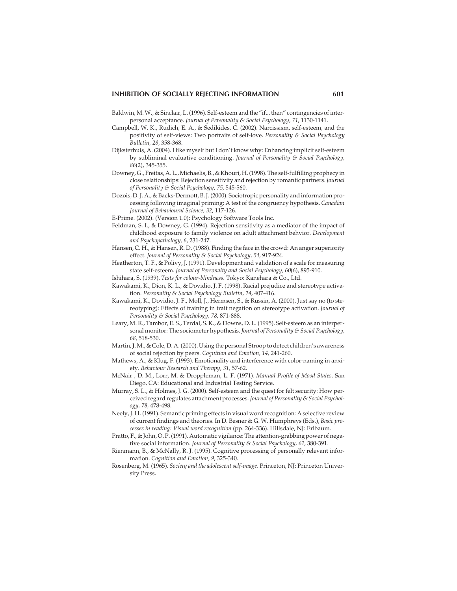- Baldwin, M. W., & Sinclair, L. (1996). Self-esteem and the "if... then" contingencies of interpersonal acceptance. *Journal of Personality & Social Psychology, 71*, 1130-1141.
- Campbell, W. K., Rudich, E. A., & Sedikides, C. (2002). Narcissism, self-esteem, and the positivity of self-views: Two portraits of self-love. *Personality & Social Psychology Bulletin, 28*, 358-368.
- Dijksterhuis, A. (2004). I like myself but I don't know why: Enhancing implicit self-esteem by subliminal evaluative conditioning. *Journal of Personality & Social Psychology, 86*(2), 345-355.
- Downey, G., Freitas, A. L., Michaelis, B., & Khouri, H. (1998). The self-fulfilling prophecy in close relationships: Rejection sensitivity and rejection by romantic partners. *Journal of Personality & Social Psychology, 75*, 545-560.
- Dozois, D. J. A., & Backs-Dermott, B. J. (2000). Sociotropic personality and information processing following imaginal priming: A test of the congruency hypothesis. *Canadian Journal of Behavioural Science, 32*, 117-126.
- E-Prime. (2002). (Version 1.0): Psychology Software Tools Inc.
- Feldman, S. I., & Downey, G. (1994). Rejection sensitivity as a mediator of the impact of childhood exposure to family violence on adult attachment behvior. *Development and Psychopathology, 6*, 231-247.
- Hansen, C. H., & Hansen, R. D. (1988). Finding the face in the crowd: An anger superiority effect. *Journal of Personality & Social Psychology, 54*, 917-924.
- Heatherton, T. F., & Polivy, J. (1991). Development and validation of a scale for measuring state self-esteem. *Journal of Personalty and Social Psychology, 60*(6), 895-910.
- Ishihara, S. (1939). *Tests for colour-blindness*. Tokyo: Kanehara & Co., Ltd.
- Kawakami, K., Dion, K. L., & Dovidio, J. F. (1998). Racial prejudice and stereotype activation. *Personality & Social Psychology Bulletin, 24*, 407-416.
- Kawakami, K., Dovidio, J. F., Moll, J., Hermsen, S., & Russin, A. (2000). Just say no (to stereotyping): Effects of training in trait negation on stereotype activation. *Journal of Personality & Social Psychology, 78*, 871-888.
- Leary, M. R., Tambor, E. S., Terdal, S. K., & Downs, D. L. (1995). Self-esteem as an interpersonal monitor: The sociometer hypothesis. *Journal of Personality & Social Psychology, 68*, 518-530.
- Martin, J. M., & Cole, D. A. (2000). Using the personal Stroop to detect children's awareness of social rejection by peers. *Cognition and Emotion, 14*, 241-260.
- Mathews, A., & Klug, F. (1993). Emotionality and interference with color-naming in anxiety. *Behaviour Research and Therapy, 31*, 57-62.
- McNair , D. M., Lorr, M. & Droppleman, L. F. (1971). *Manual Profile of Mood States*. San Diego, CA: Educational and Industrial Testing Service.
- Murray, S. L., & Holmes, J. G. (2000). Self-esteem and the quest for felt security: How perceived regard regulates attachment processes. *Journal of Personality & Social Psychology, 78*, 478-498.
- Neely, J. H. (1991). Semantic priming effects in visual word recognition: A selective review of current findings and theories. In D. Besner & G. W. Humphreys (Eds.), *Basic processes in reading: Visual word recognition* (pp. 264-336). Hillsdale, NJ: Erlbaum.
- Pratto, F., & John, O. P. (1991). Automatic vigilance: The attention-grabbing power of negative social information. *Journal of Personality & Social Psychology, 61*, 380-391.
- Rienmann, B., & McNally, R. J. (1995). Cognitive processing of personally relevant information. *Cognition and Emotion, 9*, 325-340.
- Rosenberg, M. (1965). *Society and the adolescent self-image*. Princeton, NJ: Princeton University Press.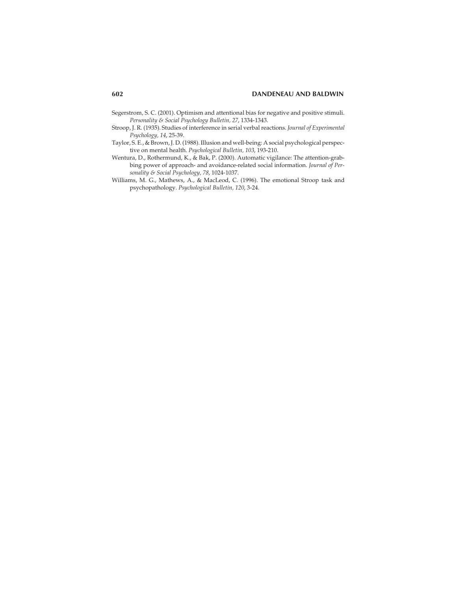- Segerstrom, S. C. (2001). Optimism and attentional bias for negative and positive stimuli. *Personality & Social Psychology Bulletin, 27*, 1334-1343.
- Stroop, J. R. (1935). Studies of interference in serial verbal reactions. *Journal of Experimental Psychology, 14*, 25-39.
- Taylor, S. E., & Brown, J. D. (1988). Illusion and well-being: A social psychological perspective on mental health. *Psychological Bulletin, 103*, 193-210.
- Wentura, D., Rothermund, K., & Bak, P. (2000). Automatic vigilance: The attention-grabbing power of approach- and avoidance-related social information. *Journal of Personality & Social Psychology, 78*, 1024-1037.
- Williams, M. G., Mathews, A., & MacLeod, C. (1996). The emotional Stroop task and psychopathology. *Psychological Bulletin, 120*, 3-24.